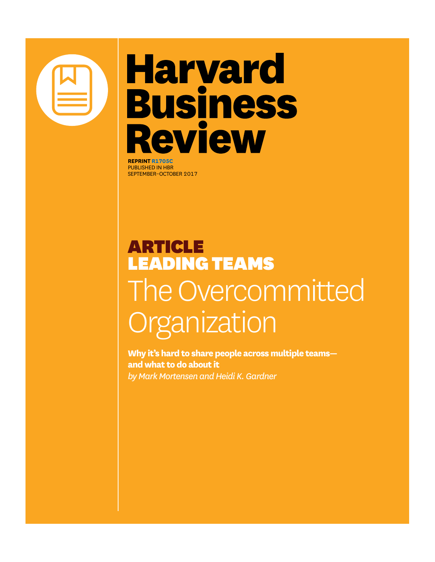

# Harvard **Business Review**

**REPRINT [R1705C](http://hbr.org/search/R1705C)** PUBLISHED IN HBR SEPTEMBER–OCTOBER 2017

# ARTICLE LEADING TEAMS The Overcommitted **Organization**

**Why it's hard to share people across multiple teams and what to do about it** *by Mark Mortensen and Heidi K. Gardner*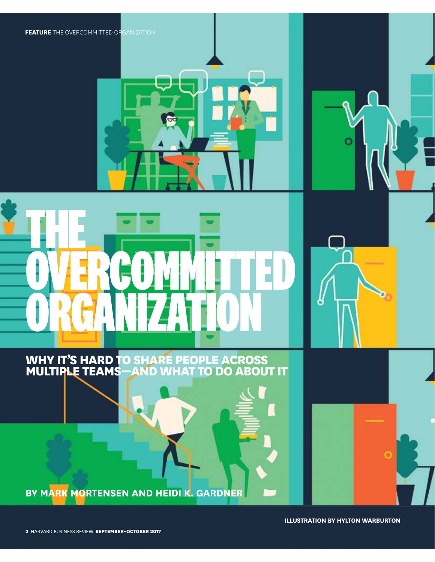

**ILLUSTRATION BY HYLTON WARBURTON**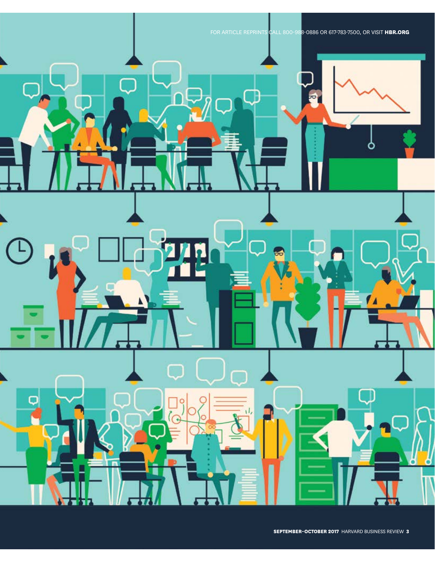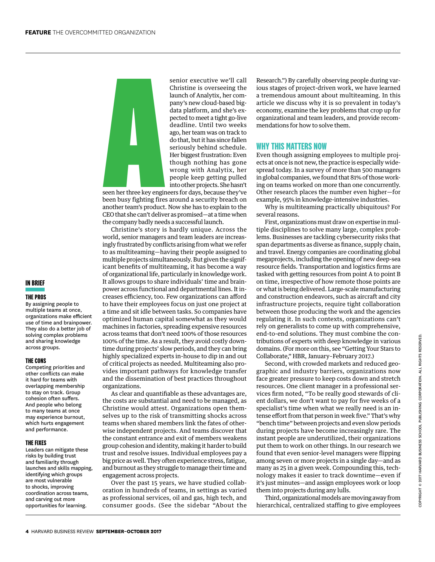**IN BRIEF**

#### **THE PROS**

By assigning people to multiple teams at once, organizations make efficient use of time and brainpower. They also do a better job of solving complex problems and sharing knowledge across groups.

#### **THE CONS**

Competing priorities and other conflicts can make it hard for teams with overlapping membership to stay on track. Group cohesion often suffers. And people who belong to many teams at once may experience burnout, which hurts engagement and performance.

#### **THE FIXES**

Leaders can mitigate these risks by building trust and familiarity through launches and skills mapping, identifying which groups are most vulnerable to shocks, improving coordination across teams, and carving out more opportunities for learning.

senior executive we'll call Christine is overseeing the launch of Analytix, her company's new cloud-based bigdata platform, and she's expected to meet a tight go-live deadline. Until two weeks ago, her team was on track to do that, but it has since fallen seriously behind schedule. Her biggest frustration: Even though nothing has gone wrong with Analytix, her people keep getting pulled into other projects. She hasn't

**A** seen her three key engineers for days, because they've been busy fighting fires around a security breach on another team's product. Now she has to explain to the CEO that she can't deliver as promised—at a time when the company badly needs a successful launch.

Christine's story is hardly unique. Across the world, senior managers and team leaders are increasingly frustrated by conflicts arising from what we refer to as multiteaming—having their people assigned to multiple projects simultaneously. But given the significant benefits of multiteaming, it has become a way of organizational life, particularly in knowledge work. It allows groups to share individuals' time and brainpower across functional and departmental lines. It increases efficiency, too. Few organizations can afford to have their employees focus on just one project at a time and sit idle between tasks. So companies have optimized human capital somewhat as they would machines in factories, spreading expensive resources across teams that don't need 100% of those resources 100% of the time. As a result, they avoid costly downtime during projects' slow periods, and they can bring highly specialized experts in-house to dip in and out of critical projects as needed. Multiteaming also provides important pathways for knowledge transfer and the dissemination of best practices throughout organizations.

As clear and quantifiable as these advantages are, the costs are substantial and need to be managed, as Christine would attest. Organizations open themselves up to the risk of transmitting shocks across teams when shared members link the fates of otherwise independent projects. And teams discover that the constant entrance and exit of members weakens group cohesion and identity, making it harder to build trust and resolve issues. Individual employees pay a big price as well. They often experience stress, fatigue, and burnout as they struggle to manage their time and engagement across projects.

Over the past 15 years, we have studied collaboration in hundreds of teams, in settings as varied as professional services, oil and gas, high tech, and consumer goods. (See the sidebar "About the Research.") By carefully observing people during various stages of project-driven work, we have learned a tremendous amount about multiteaming. In this article we discuss why it is so prevalent in today's economy, examine the key problems that crop up for organizational and team leaders, and provide recommendations for how to solve them.

#### **WHY THIS MATTERS NOW**

Even though assigning employees to multiple projects at once is not new, the practice is especially widespread today. In a survey of more than 500 managers in global companies, we found that 81% of those working on teams worked on more than one concurrently. Other research places the number even higher—for example, 95% in knowledge-intensive industries.

Why is multiteaming practically ubiquitous? For several reasons.

First, organizations must draw on expertise in multiple disciplines to solve many large, complex problems. Businesses are tackling cybersecurity risks that span departments as diverse as finance, supply chain, and travel. Energy companies are coordinating global megaprojects, including the opening of new deep-sea resource fields. Transportation and logistics firms are tasked with getting resources from point A to point B on time, irrespective of how remote those points are or what is being delivered. Large-scale manufacturing and construction endeavors, such as aircraft and city infrastructure projects, require tight collaboration between those producing the work and the agencies regulating it. In such contexts, organizations can't rely on generalists to come up with comprehensive, end-to-end solutions. They must combine the contributions of experts with deep knowledge in various domains. (For more on this, see "Getting Your Stars to Collaborate," HBR, January–February 2017.)

Second, with crowded markets and reduced geographic and industry barriers, organizations now face greater pressure to keep costs down and stretch resources. One client manager in a professional services firm noted, "To be really good stewards of client dollars, we don't want to pay for five weeks of a specialist's time when what we really need is an intense effort from that person in week five." That's why "bench time" between projects and even slow periods during projects have become increasingly rare. The instant people are underutilized, their organizations put them to work on other things. In our research we found that even senior-level managers were flipping among seven or more projects in a single day—and as many as 25 in a given week. Compounding this, technology makes it easier to track downtime—even if it's just minutes—and assign employees work or loop them into projects during any lulls.

Third, organizational models are moving away from hierarchical, centralized staffing to give employees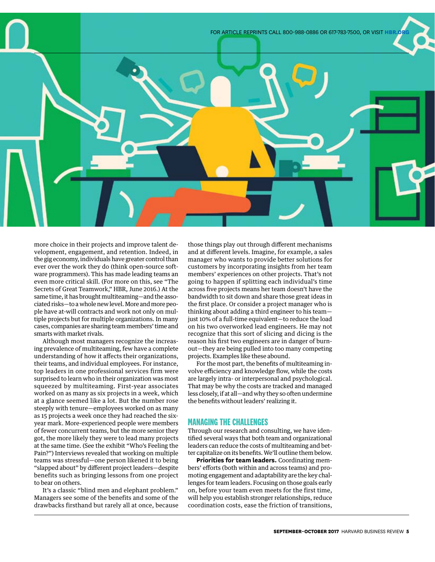

more choice in their projects and improve talent development, engagement, and retention. Indeed, in the gig economy, individuals have greater control than ever over the work they do (think open-source software programmers). This has made leading teams an even more critical skill. (For more on this, see "The Secrets of Great Teamwork," HBR, June 2016.) At the same time, it has brought multiteaming—and the associated risks—to a whole new level. More and more people have at-will contracts and work not only on multiple projects but for multiple organizations. In many cases, companies are sharing team members' time and smarts with market rivals.

Although most managers recognize the increasing prevalence of multiteaming, few have a complete understanding of how it affects their organizations, their teams, and individual employees. For instance, top leaders in one professional services firm were surprised to learn who in their organization was most squeezed by multiteaming. First-year associates worked on as many as six projects in a week, which at a glance seemed like a lot. But the number rose steeply with tenure—employees worked on as many as 15 projects a week once they had reached the sixyear mark. More-experienced people were members of fewer concurrent teams, but the more senior they got, the more likely they were to lead many projects at the same time. (See the exhibit "Who's Feeling the Pain?") Interviews revealed that working on multiple teams was stressful—one person likened it to being "slapped about" by different project leaders—despite benefits such as bringing lessons from one project to bear on others.

It's a classic "blind men and elephant problem." Managers see some of the benefits and some of the drawbacks firsthand but rarely all at once, because

those things play out through different mechanisms and at different levels. Imagine, for example, a sales manager who wants to provide better solutions for customers by incorporating insights from her team members' experiences on other projects. That's not going to happen if splitting each individual's time across five projects means her team doesn't have the bandwidth to sit down and share those great ideas in the first place. Or consider a project manager who is thinking about adding a third engineer to his team just 10% of a full-time equivalent—to reduce the load on his two overworked lead engineers. He may not recognize that this sort of slicing and dicing is the reason his first two engineers are in danger of burnout—they are being pulled into too many competing projects. Examples like these abound.

For the most part, the benefits of multiteaming involve efficiency and knowledge flow, while the costs are largely intra- or interpersonal and psychological. That may be why the costs are tracked and managed less closely, if at all—and why they so often undermine the benefits without leaders' realizing it.

#### **MANAGING THE CHALLENGES**

Through our research and consulting, we have identified several ways that both team and organizational leaders can reduce the costs of multiteaming and better capitalize on its benefits. We'll outline them below.

**Priorities for team leaders.** Coordinating members' efforts (both within and across teams) and promoting engagement and adaptability are the key challenges for team leaders. Focusing on those goals early on, before your team even meets for the first time, will help you establish stronger relationships, reduce coordination costs, ease the friction of transitions,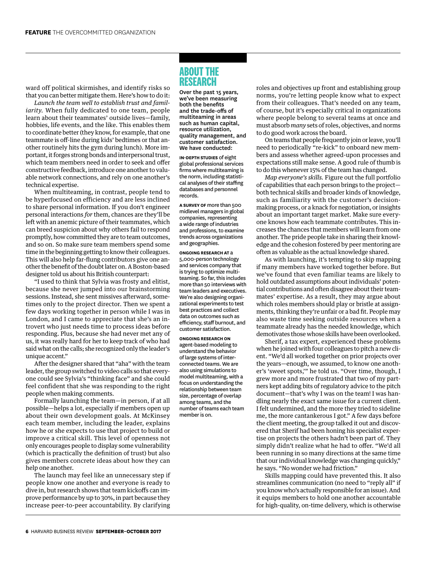ward off political skirmishes, and identify risks so that you can better mitigate them. Here's how to do it:

*Launch the team well to establish trust and familiarity.* When fully dedicated to one team, people learn about their teammates' outside lives—family, hobbies, life events, and the like. This enables them to coordinate better (they know, for example, that one teammate is off-line during kids' bedtimes or that another routinely hits the gym during lunch). More important, it forges strong bonds and interpersonal trust, which team members need in order to seek and offer constructive feedback, introduce one another to valuable network connections, and rely on one another's technical expertise.

When multiteaming, in contrast, people tend to be hyperfocused on efficiency and are less inclined to share personal information. If you don't engineer personal interactions *for* them, chances are they'll be left with an anemic picture of their teammates, which can breed suspicion about why others fail to respond promptly, how committed they are to team outcomes, and so on. So make sure team members spend some time in the beginning getting to know their colleagues. This will also help far-flung contributors give one another the benefit of the doubt later on. A Boston-based designer told us about his British counterpart:

"I used to think that Sylvia was frosty and elitist, because she never jumped into our brainstorming sessions. Instead, she sent missives afterward, sometimes only to the project director. Then we spent a few days working together in person while I was in London, and I came to appreciate that she's an introvert who just needs time to process ideas before responding. Plus, because she had never met any of us, it was really hard for her to keep track of who had said what on the calls; she recognized only the leader's unique accent."

After the designer shared that "aha" with the team leader, the group switched to video calls so that everyone could see Sylvia's "thinking face" and she could feel confident that she was responding to the right people when making comments.

Formally launching the team—in person, if at all possible—helps a lot, especially if members open up about their own development goals. At McKinsey each team member, including the leader, explains how he or she expects to use that project to build or improve a critical skill. This level of openness not only encourages people to display some vulnerability (which is practically the definition of trust) but also gives members concrete ideas about how they can help one another.

The launch may feel like an unnecessary step if people know one another and everyone is ready to dive in, but research shows that team kickoffs can improve performance by up to 30%, in part because they increase peer-to-peer accountability. By clarifying

## **ABOUT THE RESEARCH**

Over the past 15 years, we've been measuring both the benefits and the trade-offs of multiteaming in areas such as human capital, resource utilization, quality management, and customer satisfaction. We have conducted:

**IN-DEPTH STUDIES** of eight global professional services firms where multiteaming is the norm, including statistical analyses of their staffing databases and personnel records.

**A SURVEY OF** more than 500 midlevel managers in global companies, representing a wide range of industries and professions, to examine trends across organizations and geographies.

**ONGOING RESEARCH AT** a 5,000-person technology and services company that is trying to optimize multiteaming. So far, this includes more than 50 interviews with team leaders and executives. We're also designing organizational experiments to test best practices and collect data on outcomes such as efficiency, staff burnout, and customer satisfaction.

**ONGOING RESEARCH ON**  agent-based modeling to understand the behavior of large systems of interconnected teams. We are also using simulations to model multiteaming, with a focus on understanding the relationship between team size, percentage of overlap among teams, and the number of teams each team member is on.

roles and objectives up front and establishing group norms, you're letting people know what to expect from their colleagues. That's needed on any team, of course, but it's especially critical in organizations where people belong to several teams at once and must absorb *many* sets of roles, objectives, and norms to do good work across the board.

On teams that people frequently join or leave, you'll need to periodically "re-kick" to onboard new members and assess whether agreed-upon processes and expectations still make sense. A good rule of thumb is to do this whenever 15% of the team has changed.

*Map everyone's skills.* Figure out the full portfolio of capabilities that each person brings to the project both technical skills and broader kinds of knowledge, such as familiarity with the customer's decisionmaking process, or a knack for negotiation, or insights about an important target market. Make sure everyone knows how each teammate contributes. This increases the chances that members will learn from one another. The pride people take in sharing their knowledge and the cohesion fostered by peer mentoring are often as valuable as the actual knowledge shared.

As with launching, it's tempting to skip mapping if many members have worked together before. But we've found that even familiar teams are likely to hold outdated assumptions about individuals' potential contributions and often disagree about their teammates' expertise. As a result, they may argue about which roles members should play or bristle at assignments, thinking they're unfair or a bad fit. People may also waste time seeking outside resources when a teammate already has the needed knowledge, which demotivates those whose skills have been overlooked.

Sherif, a tax expert, experienced these problems when he joined with four colleagues to pitch a new client. "We'd all worked together on prior projects over the years—enough, we assumed, to know one another's 'sweet spots,'" he told us. "Over time, though, I grew more and more frustrated that two of my partners kept adding bits of regulatory advice to the pitch document—that's why I was on the team! I was handling nearly the exact same issue for a current client. I felt undermined, and the more they tried to sideline me, the more cantankerous I got." A few days before the client meeting, the group talked it out and discovered that Sherif had been honing his specialist expertise on projects the others hadn't been part of. They simply didn't realize what he had to offer. "We'd all been running in so many directions at the same time that our individual knowledge was changing quickly," he says. "No wonder we had friction."

Skills mapping could have prevented this. It also streamlines communication (no need to "reply all" if you know who's actually responsible for an issue). And it equips members to hold one another accountable for high-quality, on-time delivery, which is otherwise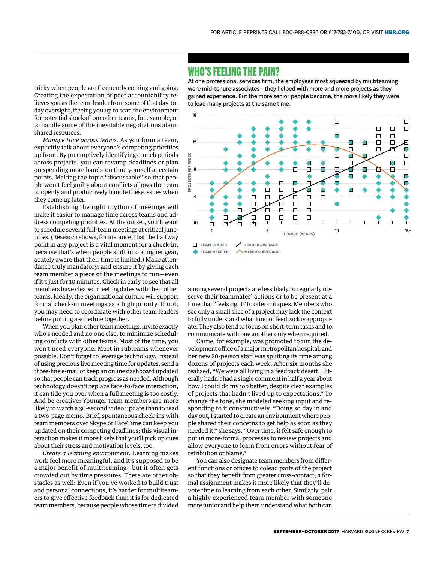### **WHO'S FEELING THE PAIN?**

tricky when people are frequently coming and going. Creating the expectation of peer accountability relieves you as the team leader from some of that day-today oversight, freeing you up to scan the environment for potential shocks from other teams, for example, or to handle some of the inevitable negotiations about shared resources.

*Manage time across teams.* As you form a team, explicitly talk about everyone's competing priorities up front. By preemptively identifying crunch periods across projects, you can revamp deadlines or plan on spending more hands-on time yourself at certain points. Making the topic "discussable" so that people won't feel guilty about conflicts allows the team to openly and productively handle these issues when they come up later.

Establishing the right rhythm of meetings will make it easier to manage time across teams and address competing priorities. At the outset, you'll want to schedule several full-team meetings at critical junctures. (Research shows, for instance, that the halfway point in any project is a vital moment for a check-in, because that's when people shift into a higher gear, acutely aware that their time is limited.) Make attendance truly mandatory, and ensure it by giving each team member a piece of the meetings to run—even if it's just for 10 minutes. Check in early to see that all members have cleared meeting dates with their other teams. Ideally, the organizational culture will support formal check-in meetings as a high priority. If not, you may need to coordinate with other team leaders before putting a schedule together.

When you plan other team meetings, invite exactly who's needed and no one else, to minimize scheduling conflicts with other teams. Most of the time, you won't need everyone. Meet in subteams whenever possible. Don't forget to leverage technology: Instead of using precious live meeting time for updates, send a three-line e-mail or keep an online dashboard updated so that people can track progress as needed. Although technology doesn't replace face-to-face interaction, it can tide you over when a full meeting is too costly. And be creative: Younger team members are more likely to watch a 30-second video update than to read a two-page memo. Brief, spontaneous check-ins with team members over Skype or FaceTime can keep you updated on their competing deadlines; this visual interaction makes it more likely that you'll pick up cues about their stress and motivation levels, too.

*Create a learning environment.* Learning makes work feel more meaningful, and it's supposed to be a major benefit of multiteaming—but it often gets crowded out by time pressures. There are other obstacles as well: Even if you've worked to build trust and personal connections, it's harder for multiteamers to give effective feedback than it is for dedicated team members, because people whose time is divided At one professional services firm, the employees most squeezed by multiteaming were mid-tenure associates—they helped with more and more projects as they gained experience. But the more senior people became, the more likely they were to lead many projects at the same time.



among several projects are less likely to regularly observe their teammates' actions or to be present at a time that "feels right" to offer critiques. Members who see only a small slice of a project may lack the context to fully understand what kind of feedback is appropriate. They also tend to focus on short-term tasks and to communicate with one another only when required.

Carrie, for example, was promoted to run the development office of a major metropolitan hospital, and her new 20-person staff was splitting its time among dozens of projects each week. After six months she realized, "We were all living in a feedback desert. I literally hadn't had a single comment in half a year about how I could do my job better, despite clear examples of projects that hadn't lived up to expectations." To change the tone, she modeled seeking input and responding to it constructively. "Doing so day in and day out, I started to create an environment where people shared their concerns to get help as soon as they needed it," she says. "Over time, it felt safe enough to put in more-formal processes to review projects and allow everyone to learn from errors without fear of retribution or blame."

You can also designate team members from different functions or offices to colead parts of the project so that they benefit from greater cross-contact; a formal assignment makes it more likely that they'll devote time to learning from each other. Similarly, pair a highly experienced team member with someone more junior and help them understand what both can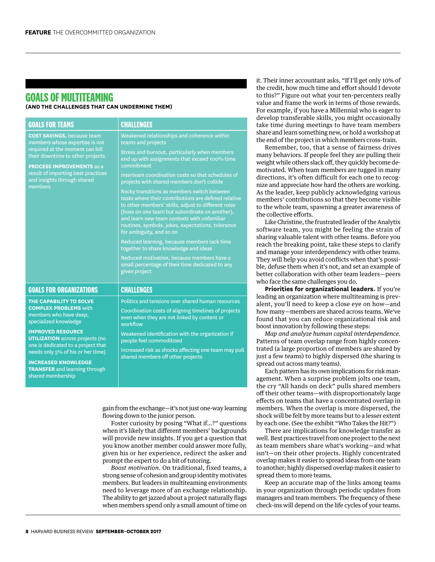# **GOALS OF MULTITEAMING**

#### **(AND THE CHALLENGES THAT CAN UNDERMINE THEM)**

| <b>GOALS FOR TEAMS</b>                                                                                                                                                                                                                                         | <b>CHALLENGES</b>                                                                                                                                                                                                                                                                                                                            |
|----------------------------------------------------------------------------------------------------------------------------------------------------------------------------------------------------------------------------------------------------------------|----------------------------------------------------------------------------------------------------------------------------------------------------------------------------------------------------------------------------------------------------------------------------------------------------------------------------------------------|
| <b>COST SAVINGS, because team</b><br>members whose expertise is not<br>required at the moment can bill<br>their downtime to other projects<br><b>PROCESS IMPROVEMENTS as a</b><br>result of importing best practices<br>and insights through shared<br>members | Weakened relationships and coherence within<br>teams and projects                                                                                                                                                                                                                                                                            |
|                                                                                                                                                                                                                                                                | Stress and burnout, particularly when members<br>end up with assignments that exceed 100% time<br>commitment                                                                                                                                                                                                                                 |
|                                                                                                                                                                                                                                                                | Interteam coordination costs so that schedules of<br>projects with shared members don't collide                                                                                                                                                                                                                                              |
|                                                                                                                                                                                                                                                                | Rocky transitions as members switch between<br>tasks where their contributions are defined relative<br>to other members' skills, adjust to different roles<br>(boss on one team but subordinate on another),<br>and learn new team contexts with unfamiliar<br>routines, symbols, jokes, expectations, tolerance<br>for ambiguity, and so on |
|                                                                                                                                                                                                                                                                | Reduced learning, because members lack time<br>together to share knowledge and ideas                                                                                                                                                                                                                                                         |
|                                                                                                                                                                                                                                                                | Reduced motivation, because members have a<br>small percentage of their time dedicated to any<br>given project                                                                                                                                                                                                                               |
| <b>GOALS FOR ORGANIZATIONS</b>                                                                                                                                                                                                                                 | <b>CHALLENGES</b>                                                                                                                                                                                                                                                                                                                            |
| <b>THE CAPABILITY TO SOLVE</b><br><b>COMPLEX PROBLEMS with</b><br>members who have deep,<br>specialized knowledge                                                                                                                                              | Politics and tensions over shared human resources<br>Coordination costs of aligning timelines of projects<br>even when they are not linked by content or<br>workflow                                                                                                                                                                         |
| <b>IMPROVED RESOURCE</b><br><b>UTILIZATION</b> across projects (no<br>one is dedicated to a project that<br>needs only 5% of his or her time)<br><b>INCREASED KNOWLEDGE</b><br><b>TRANSFER</b> and learning through<br>shared membership                       | Weakened identification with the organization if<br>people feel commoditized<br>Increased risk as shocks affecting one team may pull<br>shared members off other projects                                                                                                                                                                    |
|                                                                                                                                                                                                                                                                |                                                                                                                                                                                                                                                                                                                                              |

gain from the exchange—it's not just one-way learning flowing down to the junior person.

Foster curiosity by posing "What if…?" questions when it's likely that different members' backgrounds will provide new insights. If you get a question that you know another member could answer more fully, given his or her experience, redirect the asker and prompt the expert to do a bit of tutoring.

*Boost motivation.* On traditional, fixed teams, a strong sense of cohesion and group identity motivates members. But leaders in multiteaming environments need to leverage more of an exchange relationship. The ability to get jazzed about a project naturally flags when members spend only a small amount of time on it. Their inner accountant asks, "If I'll get only 10% of the credit, how much time and effort should I devote to this?" Figure out what your ten-percenters really value and frame the work in terms of those rewards. For example, if you have a Millennial who is eager to develop transferable skills, you might occasionally take time during meetings to have team members share and learn something new, or hold a workshop at the end of the project in which members cross-train.

Remember, too, that a sense of fairness drives many behaviors. If people feel they are pulling their weight while others slack off, they quickly become demotivated. When team members are tugged in many directions, it's often difficult for each one to recognize and appreciate how hard the others are working. As the leader, keep publicly acknowledging various members' contributions so that they become visible to the whole team, spawning a greater awareness of the collective efforts.

Like Christine, the frustrated leader of the Analytix software team, you might be feeling the strain of sharing valuable talent with other teams. Before you reach the breaking point, take these steps to clarify and manage your interdependency with other teams. They will help you avoid conflicts when that's possible, defuse them when it's not, and set an example of better collaboration with other team leaders—peers who face the same challenges you do.

**Priorities for organizational leaders.** If you're leading an organization where multiteaming is prevalent, you'll need to keep a close eye on how—and how many—members are shared across teams. We've found that you can reduce organizational risk and boost innovation by following these steps:

*Map and analyze human capital interdependence.*  Patterns of team overlap range from highly concentrated (a large proportion of members are shared by just a few teams) to highly dispersed (the sharing is spread out across many teams).

Each pattern has its own implications for risk management. When a surprise problem jolts one team, the cry "All hands on deck" pulls shared members off their other teams—with disproportionately large effects on teams that have a concentrated overlap in members. When the overlap is more dispersed, the shock will be felt by more teams but to a lesser extent by each one. (See the exhibit "Who Takes the Hit?")

There are implications for knowledge transfer as well. Best practices travel from one project to the next as team members share what's working—and what isn't—on their other projects. Highly concentrated overlap makes it easier to spread ideas from one team to another; highly dispersed overlap makes it easier to spread them to more teams.

Keep an accurate map of the links among teams in your organization through periodic updates from managers and team members. The frequency of these check-ins will depend on the life cycles of your teams.